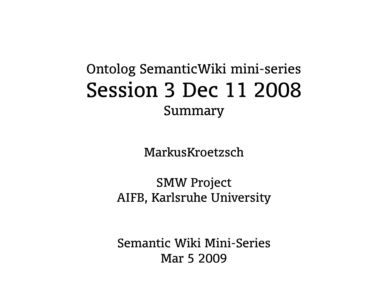#### Ontolog SemanticWiki mini-series Session 3 Dec 11 2008 Summary

MarkusKroetzsch

SMW Project AIFB, Karlsruhe University

Semantic Wiki Mini-Series Mar 5 2009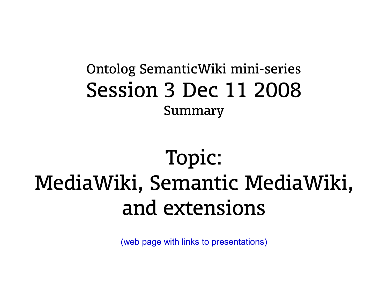#### Ontolog SemanticWiki mini-series Session 3 Dec 11 2008 Summary

### Topic: MediaWiki, Semantic MediaWiki, and extensions

[\(web page with links to presentations\)](http://ontolog.cim3.net/cgi-bin/wiki.pl?ConferenceCall_2008_12_11)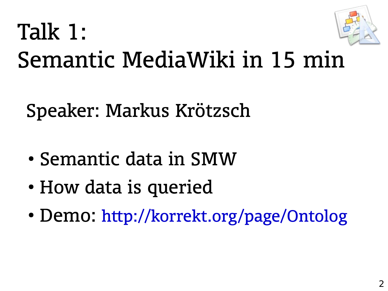

# Talk 1: Semantic MediaWiki in 15 min

Speaker: Markus Krötzsch

- Semantic data in SMW
- How data is queried
- Demo: <http://korrekt.org/page/Ontolog>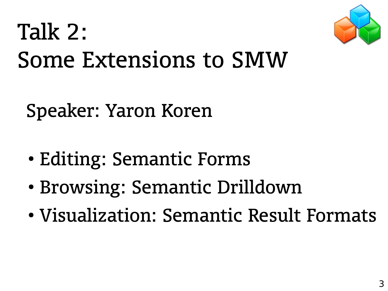

# Talk 2: Some Extensions to SMW

### Speaker: Yaron Koren

- Editing: Semantic Forms
- Browsing: Semantic Drilldown
- Visualization: Semantic Result Formats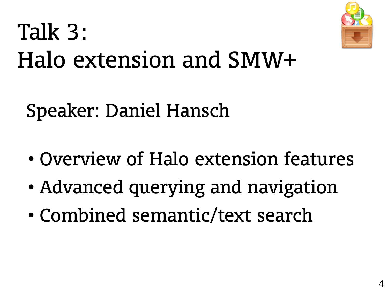

# Talk 3: Halo extension and SMW+

Speaker: Daniel Hansch

- Overview of Halo extension features
- Advanced querying and navigation
- Combined semantic/text search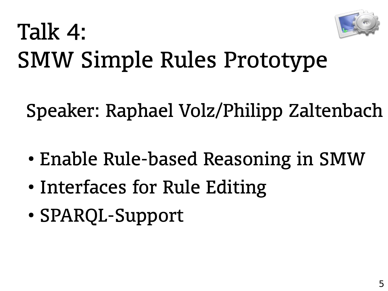

## Talk 4: SMW Simple Rules Prototype

Speaker: Raphael Volz/Philipp Zaltenbach

- Enable Rule-based Reasoning in SMW
- Interfaces for Rule Editing
- SPARQL-Support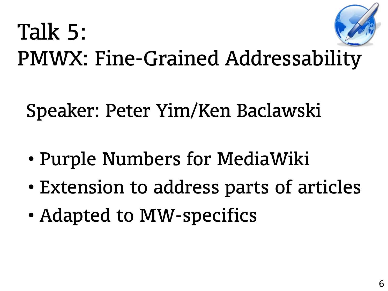# Talk 5: PMWX: Fine-Grained Addressability

Speaker: Peter Yim/Ken Baclawski

- Purple Numbers for MediaWiki
- Extension to address parts of articles
- Adapted to MW-specifics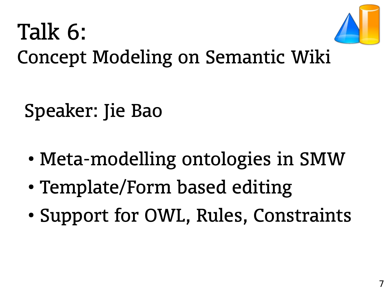

### Talk 6: Concept Modeling on Semantic Wiki

Speaker: Jie Bao

- Meta-modelling ontologies in SMW
- Template/Form based editing
- Support for OWL, Rules, Constraints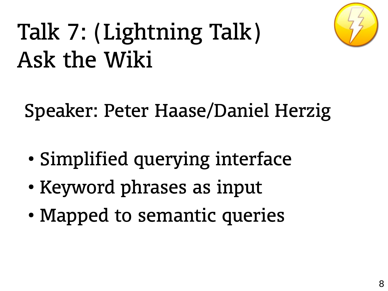

# Talk 7: (Lightning Talk) Ask the Wiki

Speaker: Peter Haase/Daniel Herzig

- Simplified querying interface
- Keyword phrases as input
- Mapped to semantic queries